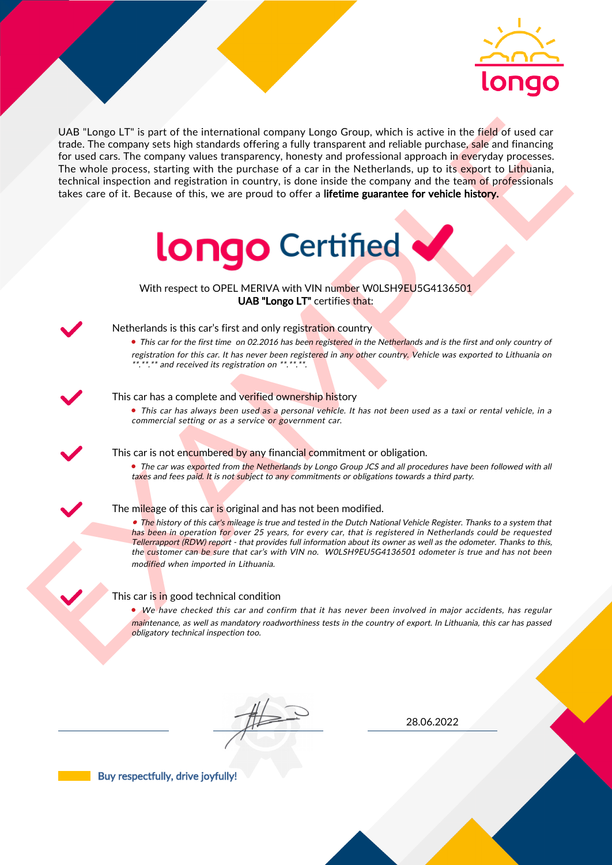

UAS "Lange LI" is part of the interactional company longe Group, which is active in the field of uast car<br>for the field of the control and the interaction between the particles are provided interactional properties of the UAB "Longo LT" is part of the international company Longo Group, which is active in the field of used car trade. The company sets high standards offering a fully transparent and reliable purchase, sale and financing for used cars. The company values transparency, honesty and professional approach in everyday processes. The whole process, starting with the purchase of a car in the Netherlands, up to its export to Lithuania, technical inspection and registration in country, is done inside the company and the team of professionals takes care of it. Because of this, we are proud to offer a lifetime guarantee for vehicle history.



With respect to OPEL MERIVA with VIN number W0LSH9EU5G4136501 UAB "Longo LT" certifies that:



## Netherlands is this car's first and only registration country

• This car for the first time on 02.2016 has been registered in the Netherlands and is the first and only country of registration for this car. It has never been registered in any other country. Vehicle was exported to Lithuania on \*.\*\*.\*\* and received its registration on \*\*.\*\*.\*\*.

#### This car has a complete and verified ownership history

• This car has always been used as a personal vehicle. It has not been used as a taxi or rental vehicle, in a commercial setting or as a service or government car.

This car is not encumbered by any financial commitment or obligation.

• The car was exported from the Netherlands by Longo Group JCS and all procedures have been followed with all taxes and fees paid. It is not subject to any commitments or obligations towards a third party.

### The mileage of this car is original and has not been modified.

• The history of this car's mileage is true and tested in the Dutch National Vehicle Register. Thanks to a system that has been in operation for over 25 years, for every car, that is registered in Netherlands could be requested Tellerrapport (RDW) report - that provides full information about its owner as well as the odometer. Thanks to this, the customer can be sure that car's with VIN no. WOLSH9EU5G4136501 odometer is true and has not been modified when imported in Lithuania.

#### This car is in good technical condition

• We have checked this car and confirm that it has never been involved in major accidents, has regular maintenance, as well as mandatory roadworthiness tests in the country of export. In Lithuania, this car has passed obligatory technical inspection too.

28.06.2022

Buy respectfully, drive joyfully!